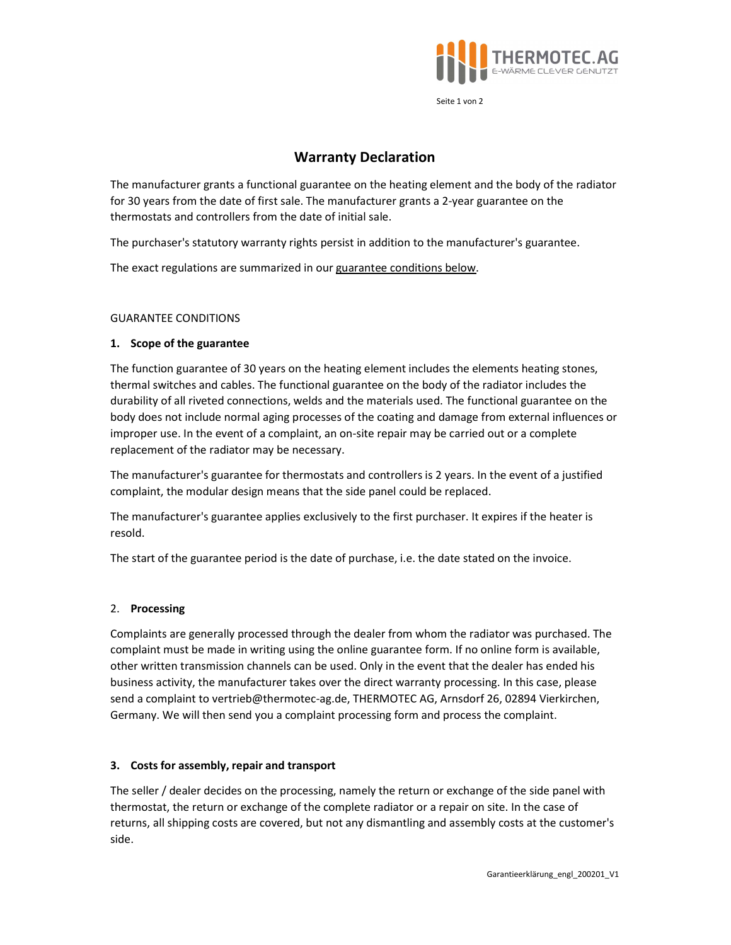

Seite 1 von 2

# Warranty Declaration

The manufacturer grants a functional guarantee on the heating element and the body of the radiator for 30 years from the date of first sale. The manufacturer grants a 2-year guarantee on the thermostats and controllers from the date of initial sale.

The purchaser's statutory warranty rights persist in addition to the manufacturer's guarantee.

The exact regulations are summarized in our guarantee conditions below.

## GUARANTEE CONDITIONS

## 1. Scope of the guarantee

The function guarantee of 30 years on the heating element includes the elements heating stones, thermal switches and cables. The functional guarantee on the body of the radiator includes the durability of all riveted connections, welds and the materials used. The functional guarantee on the body does not include normal aging processes of the coating and damage from external influences or improper use. In the event of a complaint, an on-site repair may be carried out or a complete replacement of the radiator may be necessary.

The manufacturer's guarantee for thermostats and controllers is 2 years. In the event of a justified complaint, the modular design means that the side panel could be replaced.

The manufacturer's guarantee applies exclusively to the first purchaser. It expires if the heater is resold.

The start of the guarantee period is the date of purchase, i.e. the date stated on the invoice.

#### 2. Processing

Complaints are generally processed through the dealer from whom the radiator was purchased. The complaint must be made in writing using the online guarantee form. If no online form is available, other written transmission channels can be used. Only in the event that the dealer has ended his business activity, the manufacturer takes over the direct warranty processing. In this case, please send a complaint to vertrieb@thermotec-ag.de, THERMOTEC AG, Arnsdorf 26, 02894 Vierkirchen, Germany. We will then send you a complaint processing form and process the complaint.

#### 3. Costs for assembly, repair and transport

The seller / dealer decides on the processing, namely the return or exchange of the side panel with thermostat, the return or exchange of the complete radiator or a repair on site. In the case of returns, all shipping costs are covered, but not any dismantling and assembly costs at the customer's side.